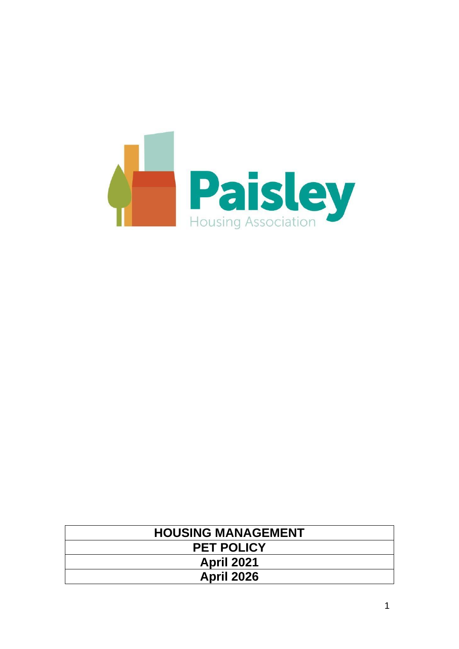

| <b>HOUSING MANAGEMENT</b> |  |  |
|---------------------------|--|--|
| <b>PET POLICY</b>         |  |  |
| <b>April 2021</b>         |  |  |
| <b>April 2026</b>         |  |  |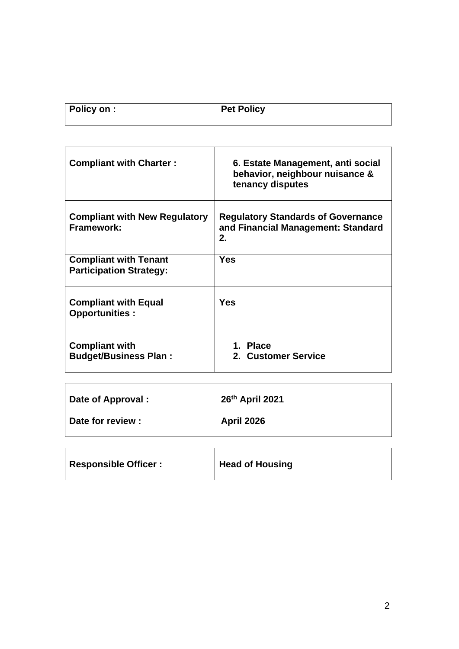| Policy on : | <b>Pet Policy</b> |
|-------------|-------------------|
|             |                   |

| <b>Compliant with Charter:</b>                                 | 6. Estate Management, anti social<br>behavior, neighbour nuisance &<br>tenancy disputes |  |  |
|----------------------------------------------------------------|-----------------------------------------------------------------------------------------|--|--|
| <b>Compliant with New Regulatory</b><br>Framework:             | <b>Regulatory Standards of Governance</b><br>and Financial Management: Standard<br>2.   |  |  |
| <b>Compliant with Tenant</b><br><b>Participation Strategy:</b> | <b>Yes</b>                                                                              |  |  |
| <b>Compliant with Equal</b><br><b>Opportunities:</b>           | Yes                                                                                     |  |  |
| <b>Compliant with</b><br><b>Budget/Business Plan:</b>          | 1. Place<br>2. Customer Service                                                         |  |  |

| Date of Approval : | 26th April 2021   |  |
|--------------------|-------------------|--|
| Date for review :  | <b>April 2026</b> |  |
|                    |                   |  |
|                    |                   |  |

| <b>Responsible Officer:</b> | <b>Head of Housing</b> |
|-----------------------------|------------------------|
|                             |                        |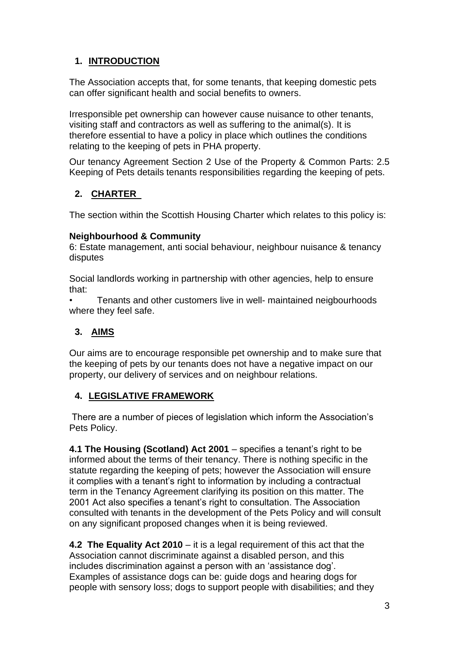# **1. INTRODUCTION**

The Association accepts that, for some tenants, that keeping domestic pets can offer significant health and social benefits to owners.

Irresponsible pet ownership can however cause nuisance to other tenants, visiting staff and contractors as well as suffering to the animal(s). It is therefore essential to have a policy in place which outlines the conditions relating to the keeping of pets in PHA property.

Our tenancy Agreement Section 2 Use of the Property & Common Parts: 2.5 Keeping of Pets details tenants responsibilities regarding the keeping of pets.

# **2. CHARTER**

The section within the Scottish Housing Charter which relates to this policy is:

## **Neighbourhood & Community**

6: Estate management, anti social behaviour, neighbour nuisance & tenancy disputes

Social landlords working in partnership with other agencies, help to ensure that:

• Tenants and other customers live in well- maintained neigbourhoods where they feel safe.

# **3. AIMS**

Our aims are to encourage responsible pet ownership and to make sure that the keeping of pets by our tenants does not have a negative impact on our property, our delivery of services and on neighbour relations.

# **4. LEGISLATIVE FRAMEWORK**

There are a number of pieces of legislation which inform the Association's Pets Policy.

**4.1 The Housing (Scotland) Act 2001** – specifies a tenant's right to be informed about the terms of their tenancy. There is nothing specific in the statute regarding the keeping of pets; however the Association will ensure it complies with a tenant's right to information by including a contractual term in the Tenancy Agreement clarifying its position on this matter. The 2001 Act also specifies a tenant's right to consultation. The Association consulted with tenants in the development of the Pets Policy and will consult on any significant proposed changes when it is being reviewed.

**4.2 The Equality Act 2010** – it is a legal requirement of this act that the Association cannot discriminate against a disabled person, and this includes discrimination against a person with an 'assistance dog'. Examples of assistance dogs can be: guide dogs and hearing dogs for people with sensory loss; dogs to support people with disabilities; and they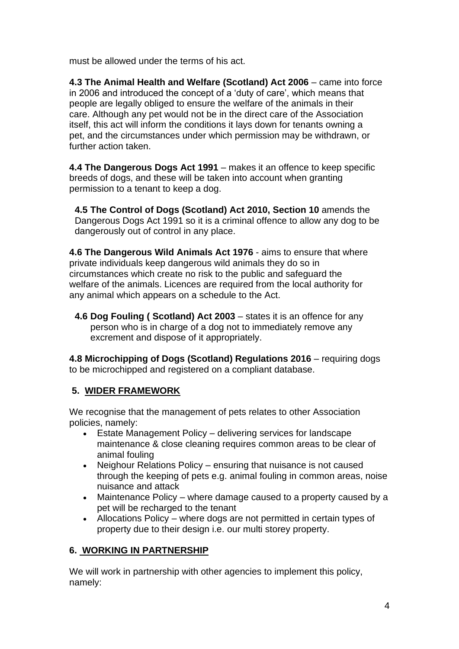must be allowed under the terms of his act.

**4.3 The Animal Health and Welfare (Scotland) Act 2006** – came into force in 2006 and introduced the concept of a 'duty of care', which means that people are legally obliged to ensure the welfare of the animals in their care. Although any pet would not be in the direct care of the Association itself, this act will inform the conditions it lays down for tenants owning a pet, and the circumstances under which permission may be withdrawn, or further action taken.

**4.4 The Dangerous Dogs Act 1991** – makes it an offence to keep specific breeds of dogs, and these will be taken into account when granting permission to a tenant to keep a dog.

**4.5 The Control of Dogs (Scotland) Act 2010, Section 10** amends the Dangerous Dogs Act 1991 so it is a criminal offence to allow any dog to be dangerously out of control in any place.

**4.6 The Dangerous Wild Animals Act 1976** - aims to ensure that where private individuals keep dangerous wild animals they do so in circumstances which create no risk to the public and safeguard the welfare of the animals. Licences are required from the local authority for any animal which appears on a schedule to the Act.

**4.6 Dog Fouling ( Scotland) Act 2003** – states it is an offence for any person who is in charge of a dog not to immediately remove any excrement and dispose of it appropriately.

**4.8 Microchipping of Dogs (Scotland) Regulations 2016** – requiring dogs to be microchipped and registered on a compliant database.

# **5. WIDER FRAMEWORK**

We recognise that the management of pets relates to other Association policies, namely:

- Estate Management Policy delivering services for landscape maintenance & close cleaning requires common areas to be clear of animal fouling
- Neighour Relations Policy ensuring that nuisance is not caused through the keeping of pets e.g. animal fouling in common areas, noise nuisance and attack
- Maintenance Policy where damage caused to a property caused by a pet will be recharged to the tenant
- Allocations Policy where dogs are not permitted in certain types of property due to their design i.e. our multi storey property.

# **6. WORKING IN PARTNERSHIP**

We will work in partnership with other agencies to implement this policy, namely: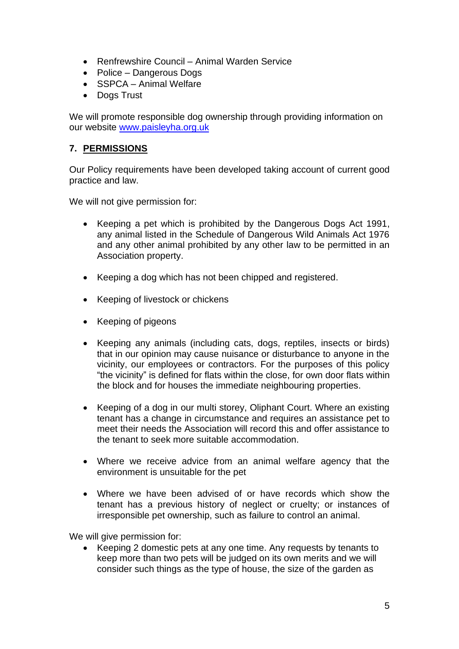- Renfrewshire Council Animal Warden Service
- Police Dangerous Dogs
- SSPCA Animal Welfare
- Dogs Trust

We will promote responsible dog ownership through providing information on our website [www.paisleyha.org.uk](http://www.paisleyha.org.uk/)

## **7. PERMISSIONS**

Our Policy requirements have been developed taking account of current good practice and law.

We will not give permission for:

- Keeping a pet which is prohibited by the Dangerous Dogs Act 1991, any animal listed in the Schedule of Dangerous Wild Animals Act 1976 and any other animal prohibited by any other law to be permitted in an Association property.
- Keeping a dog which has not been chipped and registered.
- Keeping of livestock or chickens
- Keeping of pigeons
- Keeping any animals (including cats, dogs, reptiles, insects or birds) that in our opinion may cause nuisance or disturbance to anyone in the vicinity, our employees or contractors. For the purposes of this policy "the vicinity" is defined for flats within the close, for own door flats within the block and for houses the immediate neighbouring properties.
- Keeping of a dog in our multi storey, Oliphant Court. Where an existing tenant has a change in circumstance and requires an assistance pet to meet their needs the Association will record this and offer assistance to the tenant to seek more suitable accommodation.
- Where we receive advice from an animal welfare agency that the environment is unsuitable for the pet
- Where we have been advised of or have records which show the tenant has a previous history of neglect or cruelty; or instances of irresponsible pet ownership, such as failure to control an animal.

We will give permission for:

• Keeping 2 domestic pets at any one time. Any requests by tenants to keep more than two pets will be judged on its own merits and we will consider such things as the type of house, the size of the garden as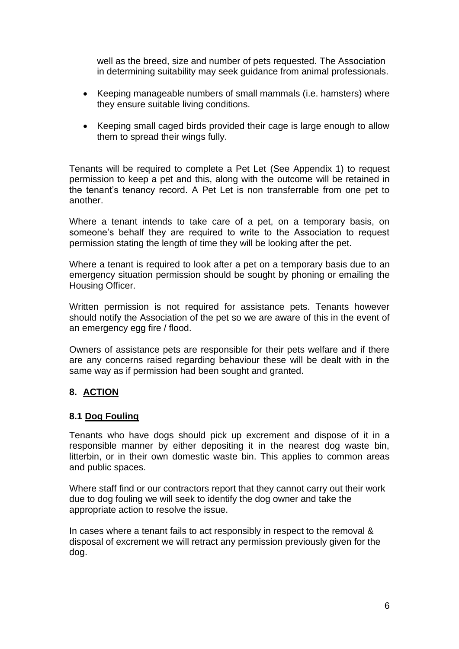well as the breed, size and number of pets requested. The Association in determining suitability may seek guidance from animal professionals.

- Keeping manageable numbers of small mammals (i.e. hamsters) where they ensure suitable living conditions.
- Keeping small caged birds provided their cage is large enough to allow them to spread their wings fully.

Tenants will be required to complete a Pet Let (See Appendix 1) to request permission to keep a pet and this, along with the outcome will be retained in the tenant's tenancy record. A Pet Let is non transferrable from one pet to another.

Where a tenant intends to take care of a pet, on a temporary basis, on someone's behalf they are required to write to the Association to request permission stating the length of time they will be looking after the pet.

Where a tenant is required to look after a pet on a temporary basis due to an emergency situation permission should be sought by phoning or emailing the Housing Officer.

Written permission is not required for assistance pets. Tenants however should notify the Association of the pet so we are aware of this in the event of an emergency egg fire / flood.

Owners of assistance pets are responsible for their pets welfare and if there are any concerns raised regarding behaviour these will be dealt with in the same way as if permission had been sought and granted.

## **8. ACTION**

### **8.1 Dog Fouling**

Tenants who have dogs should pick up excrement and dispose of it in a responsible manner by either depositing it in the nearest dog waste bin, litterbin, or in their own domestic waste bin. This applies to common areas and public spaces.

Where staff find or our contractors report that they cannot carry out their work due to dog fouling we will seek to identify the dog owner and take the appropriate action to resolve the issue.

In cases where a tenant fails to act responsibly in respect to the removal & disposal of excrement we will retract any permission previously given for the dog.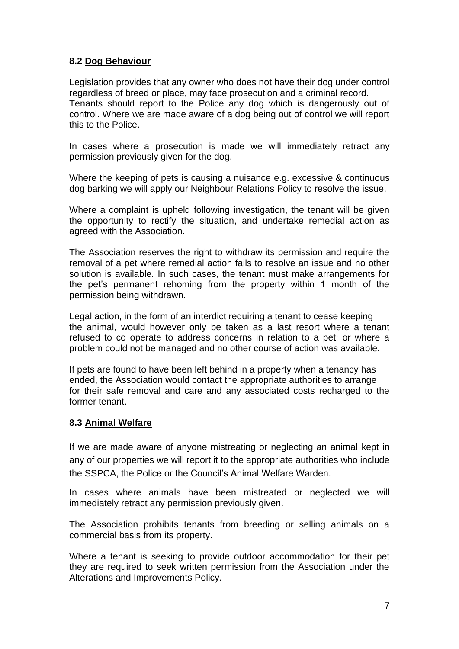## **8.2 Dog Behaviour**

Legislation provides that any owner who does not have their dog under control regardless of breed or place, may face prosecution and a criminal record. Tenants should report to the Police any dog which is dangerously out of control. Where we are made aware of a dog being out of control we will report this to the Police.

In cases where a prosecution is made we will immediately retract any permission previously given for the dog.

Where the keeping of pets is causing a nuisance e.g. excessive & continuous dog barking we will apply our Neighbour Relations Policy to resolve the issue.

Where a complaint is upheld following investigation, the tenant will be given the opportunity to rectify the situation, and undertake remedial action as agreed with the Association.

The Association reserves the right to withdraw its permission and require the removal of a pet where remedial action fails to resolve an issue and no other solution is available. In such cases, the tenant must make arrangements for the pet's permanent rehoming from the property within 1 month of the permission being withdrawn.

Legal action, in the form of an interdict requiring a tenant to cease keeping the animal, would however only be taken as a last resort where a tenant refused to co operate to address concerns in relation to a pet; or where a problem could not be managed and no other course of action was available.

If pets are found to have been left behind in a property when a tenancy has ended, the Association would contact the appropriate authorities to arrange for their safe removal and care and any associated costs recharged to the former tenant.

### **8.3 Animal Welfare**

If we are made aware of anyone mistreating or neglecting an animal kept in any of our properties we will report it to the appropriate authorities who include the SSPCA, the Police or the Council's Animal Welfare Warden.

In cases where animals have been mistreated or neglected we will immediately retract any permission previously given.

The Association prohibits tenants from breeding or selling animals on a commercial basis from its property.

Where a tenant is seeking to provide outdoor accommodation for their pet they are required to seek written permission from the Association under the Alterations and Improvements Policy.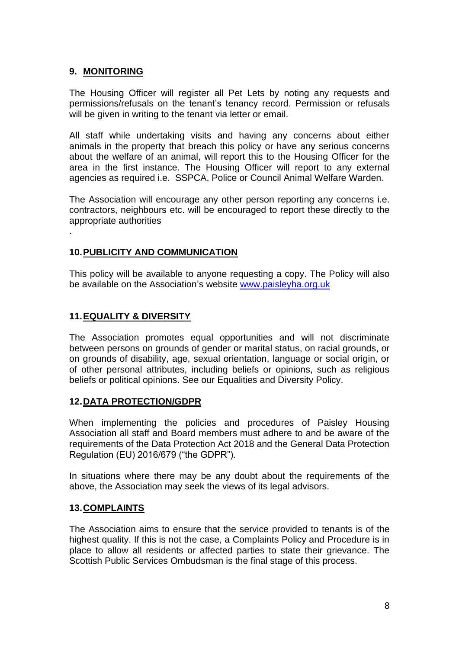### **9. MONITORING**

.

The Housing Officer will register all Pet Lets by noting any requests and permissions/refusals on the tenant's tenancy record. Permission or refusals will be given in writing to the tenant via letter or email.

All staff while undertaking visits and having any concerns about either animals in the property that breach this policy or have any serious concerns about the welfare of an animal, will report this to the Housing Officer for the area in the first instance. The Housing Officer will report to any external agencies as required i.e. SSPCA, Police or Council Animal Welfare Warden.

The Association will encourage any other person reporting any concerns i.e. contractors, neighbours etc. will be encouraged to report these directly to the appropriate authorities

### **10.PUBLICITY AND COMMUNICATION**

This policy will be available to anyone requesting a copy. The Policy will also be available on the Association's website [www.paisleyha.org.uk](http://www.paisleyha.org.uk/)

### **11.EQUALITY & DIVERSITY**

The Association promotes equal opportunities and will not discriminate between persons on grounds of gender or marital status, on racial grounds, or on grounds of disability, age, sexual orientation, language or social origin, or of other personal attributes, including beliefs or opinions, such as religious beliefs or political opinions. See our Equalities and Diversity Policy.

## **12.DATA PROTECTION/GDPR**

When implementing the policies and procedures of Paisley Housing Association all staff and Board members must adhere to and be aware of the requirements of the Data Protection Act 2018 and the General Data Protection Regulation (EU) 2016/679 ("the GDPR").

In situations where there may be any doubt about the requirements of the above, the Association may seek the views of its legal advisors.

### **13.COMPLAINTS**

The Association aims to ensure that the service provided to tenants is of the highest quality. If this is not the case, a Complaints Policy and Procedure is in place to allow all residents or affected parties to state their grievance. The Scottish Public Services Ombudsman is the final stage of this process.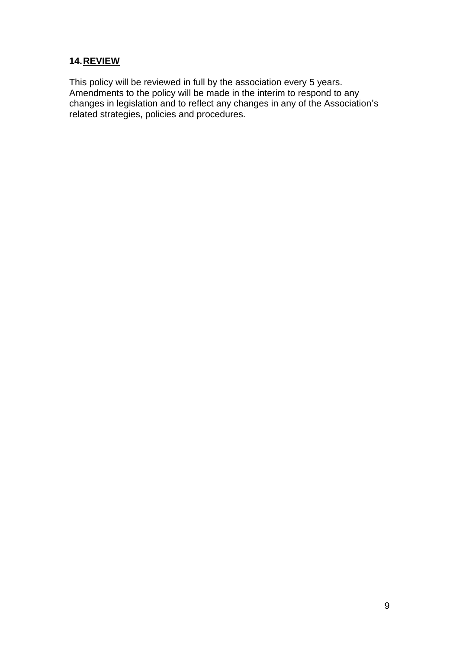## **14.REVIEW**

This policy will be reviewed in full by the association every 5 years. Amendments to the policy will be made in the interim to respond to any changes in legislation and to reflect any changes in any of the Association's related strategies, policies and procedures.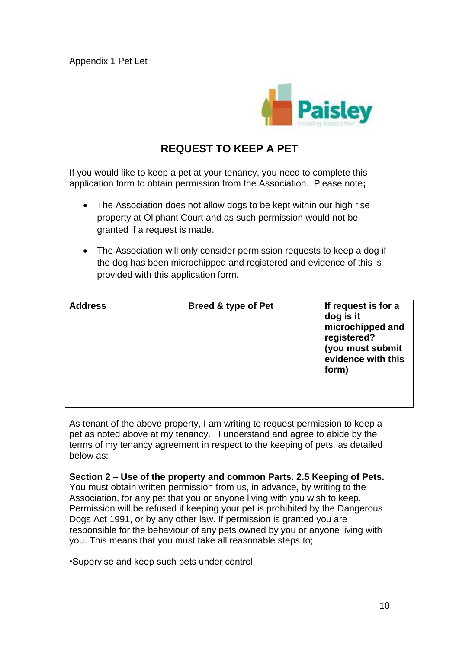Appendix 1 Pet Let



#### **REQUEST TO KEEP A PET**

If you would like to keep a pet at your tenancy, you need to complete this application form to obtain permission from the Association. Please note**;** 

- The Association does not allow dogs to be kept within our high rise property at Oliphant Court and as such permission would not be granted if a request is made.
- The Association will only consider permission requests to keep a dog if the dog has been microchipped and registered and evidence of this is provided with this application form.

| <b>Address</b> | Breed & type of Pet | If request is for a<br>dog is it<br>microchipped and<br>registered?<br>(you must submit<br>evidence with this<br>form) |
|----------------|---------------------|------------------------------------------------------------------------------------------------------------------------|
|                |                     |                                                                                                                        |

As tenant of the above property, I am writing to request permission to keep a pet as noted above at my tenancy. I understand and agree to abide by the terms of my tenancy agreement in respect to the keeping of pets, as detailed below as:

**Section 2 – Use of the property and common Parts. 2.5 Keeping of Pets.**  You must obtain written permission from us, in advance, by writing to the

Association, for any pet that you or anyone living with you wish to keep. Permission will be refused if keeping your pet is prohibited by the Dangerous Dogs Act 1991, or by any other law. If permission is granted you are responsible for the behaviour of any pets owned by you or anyone living with you. This means that you must take all reasonable steps to;

•Supervise and keep such pets under control